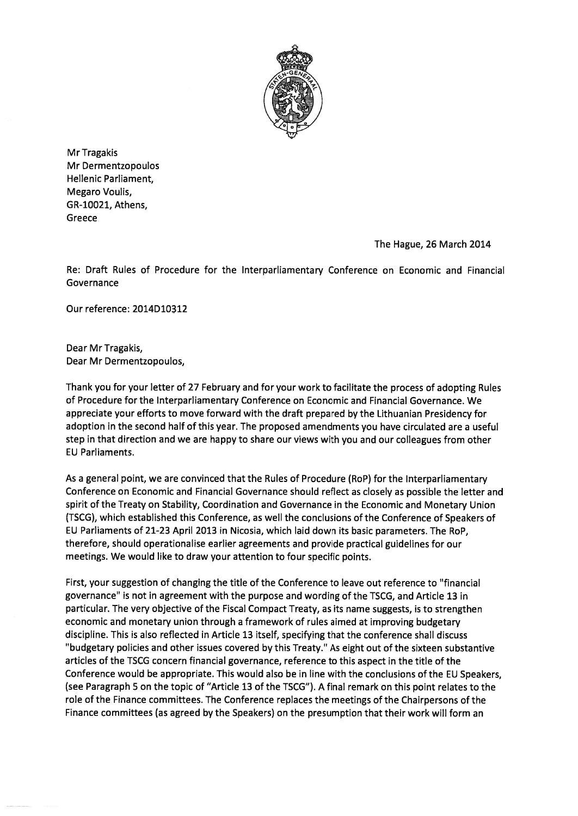

Mr Tragakis Mr Dermentzopoulos Hellenic Parliament, Megaro Voulis, GR-10021, Athens, Greece

The Hague, 26 March 2014

Re: Draft Rules of Procedure for the Interparliamentary Conference on Economic and Financial Governance

Our reference: 2014D10312

Dear Mr Tragakis, Dear Mr Dermentzopoulos,

Thank you for your letter of <sup>27</sup> February and for your work to facilitate the process of adopting Rules of Procedure for the Interparliamentary Conference on Economic and Financial Governance. We appreciate your efforts to move forward with the draft prepared by the Lithuanian Presidency for adoption in the second half of this year. The proposed amendments you have circulated are <sup>a</sup> useful step in that direction and we are happy to share our views with you and our colleagues from other EU Parliaments.

As <sup>a</sup> general point, we are convinced that the Rules of Procedure (R0P) for the lnterparliamentary Conference on Economic and Financial Governance should reflect as closely as possible the letter and spirit of the Treaty on Stability, Coordination and Governance in the Economic and Monetary Union (TSCG), which established this Conference, as well the conclusions of the Conference of Speakers of EU Parliaments of 21-23 April 2013 in Nicosia, which laid down its basic parameters. The R0P, therefore, should operationalise earlier agreements and provide practical guidelines for our meetings. We would like to draw your attention to four specific points.

First, your suggestion of changing the title of the Conference to leave out reference to 'financial governance" is not in agreemen<sup>t</sup> with the purpose and wording of the TSCG, and Article 13 in particular. The very objective of the Fiscal Compact Treaty, as its name suggests, is to strengthen economic and monetary union through <sup>a</sup> framework of rules aimed at improving budgetary discipline. This is also reflected in Article 13 itself, specifying that the conference shall discuss "budgetary policies and other issues covered by this Treaty." As eight out of the sixteen substantive articles of the TSCG concern financial governance, reference to this aspec<sup>t</sup> in the title of the Conference would be appropriate. This would also be in line with the conclusions of the EU Speakers, (see Paragraph 5 on the topic of "Article 13 of the TSCG"). A final remark on this point relates to the role of the Finance committees. The Conference replaces the meetings of the Chairpersons of the Finance committees (as agreed by the Speakers) on the presumption that their work will form an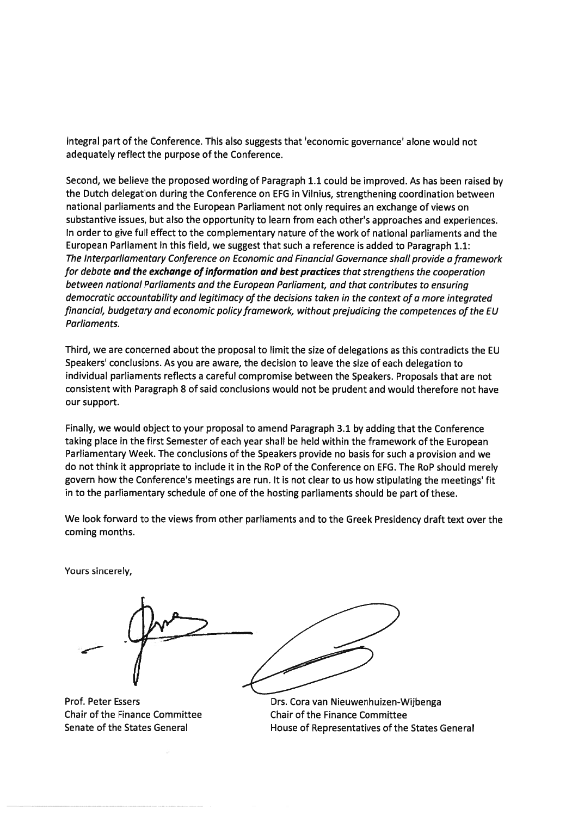integral par<sup>t</sup> of the Conference. This also suggests that 'economic governance' alone would not adequately reflect the purpose of the Conference.

Second, we believe the proposed wording of Paragraph 1.1 could be improved. As has been raised by the Dutch delegation during the Conference on EFG in Vilnius, strengthening coordination between national parliaments and the European Parliament not only requires an exchange of views on substantive issues, but also the opportunity to learn from each other's approaches and experiences. In order to give full effect to the complementary nature of the work of national parliaments and the European Parliament in this field, we sugges<sup>t</sup> that such <sup>a</sup> reference is added to Paragraph 1.1: The Interparliamentary Conference on Economic and Financial Governance shall provide a framework for debate and the exchange of information and best practices that strengthens the cooperation between national Parliaments and the European Parliament, and that contributes to ensuring dernocratic accountability and legitimacy of the decisions taken in the context of <sup>a</sup> more integrated financial, budgetary and economic policy framework, without prejudicing the competences of the EU Parliaments.

Third, we are concerned about the proposal to limit the size of delegations as this contradicts the EU Speakers' conclusions. As you are aware, the decision to leave the size of each delegation to individual parliaments reflects <sup>a</sup> careful compromise between the Speakers. Proposals that are not consistent with Paragraph 8 of said conclusions would not be prudent and would therefore not have our support.

Finally, we would object to your proposal to amend Paragraph 3.1 by adding that the Conference taking <sup>p</sup>lace in the first Semester of each year shall be held within the framework of the European Parliamentary Week. The conclusions of the Speakers provide no basis for such <sup>a</sup> provision and we do not think it appropriate to include it in the R0P of the Conference on EFG. The RoP should merely govern how the Conference's meetings are run. It is not dear to us how stipulating the meetings' fit in to the parliamentary schedule of one of the hosting parliaments should be par<sup>t</sup> of these.

We look forward to the views from other parliaments and to the Greek Presidency draft text over the coming months.

Yours sincerely,

Prof. Peter Essers Chair of the Finance Committee Senate of the States General



Drs. Cora van Nieuwenhuizen-Wijbenga Chair of the Finance Committee House of Representatives of the States General